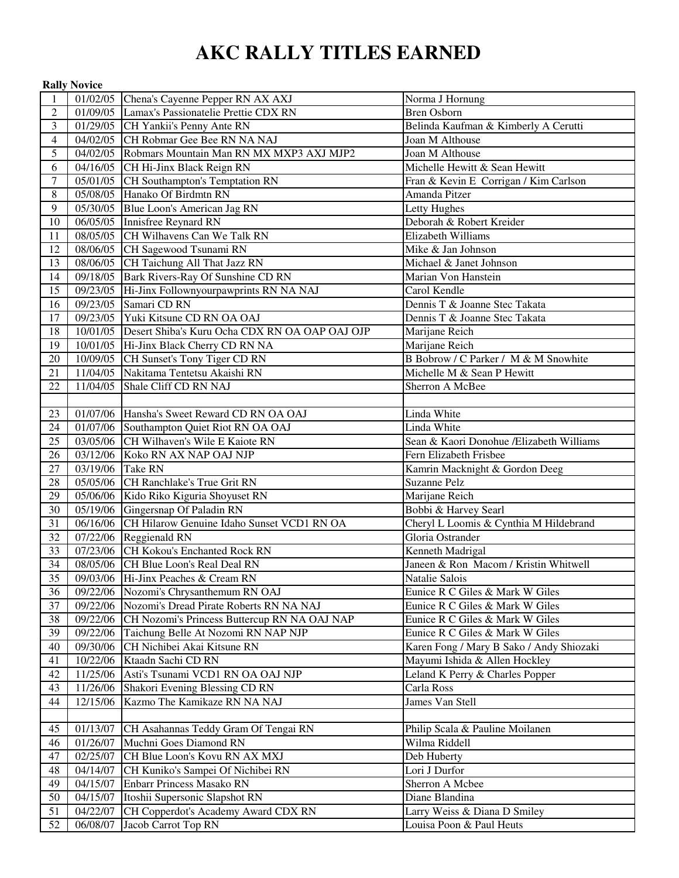# **AKC RALLY TITLES EARNED**

| 01/02/05 Chena's Cayenne Pepper RN AX AXJ<br>1<br>$\overline{2}$<br>01/09/05 Lamax's Passionatelie Prettie CDX RN<br><b>Bren Osborn</b><br>$\overline{3}$<br>01/29/05 CH Yankii's Penny Ante RN<br>Belinda Kaufman & Kimberly A Cerutti<br>04/02/05 CH Robmar Gee Bee RN NA NAJ<br>Joan M Althouse<br>$\overline{4}$<br>5<br>04/02/05 Robmars Mountain Man RN MX MXP3 AXJ MJP2<br>Joan M Althouse<br>04/16/05 CH Hi-Jinx Black Reign RN<br>Michelle Hewitt & Sean Hewitt<br>6<br>$\overline{7}$<br>05/01/05 CH Southampton's Temptation RN<br>Fran & Kevin E Corrigan / Kim Carlson<br>8<br>05/08/05 Hanako Of Birdmtn RN<br>Amanda Pitzer<br>9<br>05/30/05 Blue Loon's American Jag RN<br>Letty Hughes<br>10<br>06/05/05 Innisfree Reynard RN<br>Deborah & Robert Kreider<br>08/05/05 CH Wilhavens Can We Talk RN<br>Elizabeth Williams<br>11<br>12<br>08/06/05 CH Sagewood Tsunami RN<br>Mike & Jan Johnson<br>Michael & Janet Johnson<br>13<br>08/06/05 CH Taichung All That Jazz RN<br>09/18/05 Bark Rivers-Ray Of Sunshine CD RN<br>Marian Von Hanstein<br>14<br>15<br>09/23/05 Hi-Jinx Follownyourpawprints RN NA NAJ<br>Carol Kendle<br>16<br>09/23/05 Samari CD RN<br>Dennis T & Joanne Stec Takata<br>17<br>09/23/05 Yuki Kitsune CD RN OA OAJ<br>Dennis T & Joanne Stec Takata<br>18<br>10/01/05 Desert Shiba's Kuru Ocha CDX RN OA OAP OAJ OJP<br>Marijane Reich<br>19<br>10/01/05 Hi-Jinx Black Cherry CD RN NA<br>Marijane Reich<br>10/09/05 CH Sunset's Tony Tiger CD RN<br>B Bobrow / C Parker / M & M Snowhite<br>20<br>11/04/05 Nakitama Tentetsu Akaishi RN<br>21<br>Michelle M & Sean P Hewitt<br>22<br>11/04/05<br>Shale Cliff CD RN NAJ<br>Sherron A McBee<br>01/07/06 Hansha's Sweet Reward CD RN OA OAJ<br>Linda White<br>23<br>24<br>01/07/06 Southampton Quiet Riot RN OA OAJ<br>Linda White<br>03/05/06 CH Wilhaven's Wile E Kaiote RN<br>25<br>Sean & Kaori Donohue /Elizabeth Williams<br>26<br>03/12/06 Koko RN AX NAP OAJ NJP<br>Fern Elizabeth Frisbee<br>27<br>03/19/06 Take RN<br>Kamrin Macknight & Gordon Deeg<br>28<br>05/05/06 CH Ranchlake's True Grit RN<br>Suzanne Pelz<br>Marijane Reich<br>29<br>05/06/06 Kido Riko Kiguria Shoyuset RN<br>30<br>05/19/06 Gingersnap Of Paladin RN<br>Bobbi & Harvey Searl<br>31<br>06/16/06 CH Hilarow Genuine Idaho Sunset VCD1 RN OA<br>Cheryl L Loomis & Cynthia M Hildebrand<br>07/22/06 Reggienald RN<br>32<br>Gloria Ostrander<br>33<br>07/23/06 CH Kokou's Enchanted Rock RN<br>Kenneth Madrigal<br>34<br>08/05/06 CH Blue Loon's Real Deal RN<br>Janeen & Ron Macom / Kristin Whitwell<br>35<br>09/03/06 Hi-Jinx Peaches & Cream RN<br>Natalie Salois<br>09/22/06 Nozomi's Chrysanthemum RN OAJ<br>36<br>Eunice R C Giles & Mark W Giles<br>09/22/06 Nozomi's Dread Pirate Roberts RN NA NAJ<br>37<br>Eunice R C Giles & Mark W Giles<br>38<br>09/22/06 CH Nozomi's Princess Buttercup RN NA OAJ NAP<br>Eunice R C Giles & Mark W Giles<br>09/22/06 Taichung Belle At Nozomi RN NAP NJP<br>39<br>Eunice R C Giles & Mark W Giles<br>09/30/06 CH Nichibei Akai Kitsune RN<br>Karen Fong / Mary B Sako / Andy Shiozaki<br>40<br>Mayumi Ishida & Allen Hockley<br>10/22/06 Ktaadn Sachi CD RN<br>41<br>11/25/06<br>Asti's Tsunami VCD1 RN OA OAJ NJP<br>42<br>Leland K Perry & Charles Popper<br>Shakori Evening Blessing CD RN<br>43<br>11/26/06<br>Carla Ross<br>Kazmo The Kamikaze RN NA NAJ<br>James Van Stell<br>44<br>12/15/06<br>01/13/07 CH Asahannas Teddy Gram Of Tengai RN<br>Philip Scala & Pauline Moilanen<br>45<br>01/26/07 Muchni Goes Diamond RN<br>Wilma Riddell<br>46<br>02/25/07 CH Blue Loon's Kovu RN AX MXJ<br>47<br>Deb Huberty<br>48<br>04/14/07 CH Kuniko's Sampei Of Nichibei RN<br>Lori J Durfor<br>49<br>Enbarr Princess Masako RN<br>04/15/07<br>Sherron A Mcbee<br>Itoshii Supersonic Slapshot RN<br>Diane Blandina<br>50<br>04/15/07<br>CH Copperdot's Academy Award CDX RN<br>51<br>04/22/07<br>Larry Weiss & Diana D Smiley |    | <b>Rally Novice</b> |                     |                          |
|-----------------------------------------------------------------------------------------------------------------------------------------------------------------------------------------------------------------------------------------------------------------------------------------------------------------------------------------------------------------------------------------------------------------------------------------------------------------------------------------------------------------------------------------------------------------------------------------------------------------------------------------------------------------------------------------------------------------------------------------------------------------------------------------------------------------------------------------------------------------------------------------------------------------------------------------------------------------------------------------------------------------------------------------------------------------------------------------------------------------------------------------------------------------------------------------------------------------------------------------------------------------------------------------------------------------------------------------------------------------------------------------------------------------------------------------------------------------------------------------------------------------------------------------------------------------------------------------------------------------------------------------------------------------------------------------------------------------------------------------------------------------------------------------------------------------------------------------------------------------------------------------------------------------------------------------------------------------------------------------------------------------------------------------------------------------------------------------------------------------------------------------------------------------------------------------------------------------------------------------------------------------------------------------------------------------------------------------------------------------------------------------------------------------------------------------------------------------------------------------------------------------------------------------------------------------------------------------------------------------------------------------------------------------------------------------------------------------------------------------------------------------------------------------------------------------------------------------------------------------------------------------------------------------------------------------------------------------------------------------------------------------------------------------------------------------------------------------------------------------------------------------------------------------------------------------------------------------------------------------------------------------------------------------------------------------------------------------------------------------------------------------------------------------------------------------------------------------------------------------------------------------------------------------------------------------------------------------------------------------------------------------------------------------------------------------------------------------------------------------------------------------------------------------------------------------------------------------------------------------------------------------------------------------------------------------------|----|---------------------|---------------------|--------------------------|
|                                                                                                                                                                                                                                                                                                                                                                                                                                                                                                                                                                                                                                                                                                                                                                                                                                                                                                                                                                                                                                                                                                                                                                                                                                                                                                                                                                                                                                                                                                                                                                                                                                                                                                                                                                                                                                                                                                                                                                                                                                                                                                                                                                                                                                                                                                                                                                                                                                                                                                                                                                                                                                                                                                                                                                                                                                                                                                                                                                                                                                                                                                                                                                                                                                                                                                                                                                                                                                                                                                                                                                                                                                                                                                                                                                                                                                                                                                                                               |    |                     |                     | Norma J Hornung          |
|                                                                                                                                                                                                                                                                                                                                                                                                                                                                                                                                                                                                                                                                                                                                                                                                                                                                                                                                                                                                                                                                                                                                                                                                                                                                                                                                                                                                                                                                                                                                                                                                                                                                                                                                                                                                                                                                                                                                                                                                                                                                                                                                                                                                                                                                                                                                                                                                                                                                                                                                                                                                                                                                                                                                                                                                                                                                                                                                                                                                                                                                                                                                                                                                                                                                                                                                                                                                                                                                                                                                                                                                                                                                                                                                                                                                                                                                                                                                               |    |                     |                     |                          |
|                                                                                                                                                                                                                                                                                                                                                                                                                                                                                                                                                                                                                                                                                                                                                                                                                                                                                                                                                                                                                                                                                                                                                                                                                                                                                                                                                                                                                                                                                                                                                                                                                                                                                                                                                                                                                                                                                                                                                                                                                                                                                                                                                                                                                                                                                                                                                                                                                                                                                                                                                                                                                                                                                                                                                                                                                                                                                                                                                                                                                                                                                                                                                                                                                                                                                                                                                                                                                                                                                                                                                                                                                                                                                                                                                                                                                                                                                                                                               |    |                     |                     |                          |
|                                                                                                                                                                                                                                                                                                                                                                                                                                                                                                                                                                                                                                                                                                                                                                                                                                                                                                                                                                                                                                                                                                                                                                                                                                                                                                                                                                                                                                                                                                                                                                                                                                                                                                                                                                                                                                                                                                                                                                                                                                                                                                                                                                                                                                                                                                                                                                                                                                                                                                                                                                                                                                                                                                                                                                                                                                                                                                                                                                                                                                                                                                                                                                                                                                                                                                                                                                                                                                                                                                                                                                                                                                                                                                                                                                                                                                                                                                                                               |    |                     |                     |                          |
|                                                                                                                                                                                                                                                                                                                                                                                                                                                                                                                                                                                                                                                                                                                                                                                                                                                                                                                                                                                                                                                                                                                                                                                                                                                                                                                                                                                                                                                                                                                                                                                                                                                                                                                                                                                                                                                                                                                                                                                                                                                                                                                                                                                                                                                                                                                                                                                                                                                                                                                                                                                                                                                                                                                                                                                                                                                                                                                                                                                                                                                                                                                                                                                                                                                                                                                                                                                                                                                                                                                                                                                                                                                                                                                                                                                                                                                                                                                                               |    |                     |                     |                          |
|                                                                                                                                                                                                                                                                                                                                                                                                                                                                                                                                                                                                                                                                                                                                                                                                                                                                                                                                                                                                                                                                                                                                                                                                                                                                                                                                                                                                                                                                                                                                                                                                                                                                                                                                                                                                                                                                                                                                                                                                                                                                                                                                                                                                                                                                                                                                                                                                                                                                                                                                                                                                                                                                                                                                                                                                                                                                                                                                                                                                                                                                                                                                                                                                                                                                                                                                                                                                                                                                                                                                                                                                                                                                                                                                                                                                                                                                                                                                               |    |                     |                     |                          |
|                                                                                                                                                                                                                                                                                                                                                                                                                                                                                                                                                                                                                                                                                                                                                                                                                                                                                                                                                                                                                                                                                                                                                                                                                                                                                                                                                                                                                                                                                                                                                                                                                                                                                                                                                                                                                                                                                                                                                                                                                                                                                                                                                                                                                                                                                                                                                                                                                                                                                                                                                                                                                                                                                                                                                                                                                                                                                                                                                                                                                                                                                                                                                                                                                                                                                                                                                                                                                                                                                                                                                                                                                                                                                                                                                                                                                                                                                                                                               |    |                     |                     |                          |
|                                                                                                                                                                                                                                                                                                                                                                                                                                                                                                                                                                                                                                                                                                                                                                                                                                                                                                                                                                                                                                                                                                                                                                                                                                                                                                                                                                                                                                                                                                                                                                                                                                                                                                                                                                                                                                                                                                                                                                                                                                                                                                                                                                                                                                                                                                                                                                                                                                                                                                                                                                                                                                                                                                                                                                                                                                                                                                                                                                                                                                                                                                                                                                                                                                                                                                                                                                                                                                                                                                                                                                                                                                                                                                                                                                                                                                                                                                                                               |    |                     |                     |                          |
|                                                                                                                                                                                                                                                                                                                                                                                                                                                                                                                                                                                                                                                                                                                                                                                                                                                                                                                                                                                                                                                                                                                                                                                                                                                                                                                                                                                                                                                                                                                                                                                                                                                                                                                                                                                                                                                                                                                                                                                                                                                                                                                                                                                                                                                                                                                                                                                                                                                                                                                                                                                                                                                                                                                                                                                                                                                                                                                                                                                                                                                                                                                                                                                                                                                                                                                                                                                                                                                                                                                                                                                                                                                                                                                                                                                                                                                                                                                                               |    |                     |                     |                          |
|                                                                                                                                                                                                                                                                                                                                                                                                                                                                                                                                                                                                                                                                                                                                                                                                                                                                                                                                                                                                                                                                                                                                                                                                                                                                                                                                                                                                                                                                                                                                                                                                                                                                                                                                                                                                                                                                                                                                                                                                                                                                                                                                                                                                                                                                                                                                                                                                                                                                                                                                                                                                                                                                                                                                                                                                                                                                                                                                                                                                                                                                                                                                                                                                                                                                                                                                                                                                                                                                                                                                                                                                                                                                                                                                                                                                                                                                                                                                               |    |                     |                     |                          |
|                                                                                                                                                                                                                                                                                                                                                                                                                                                                                                                                                                                                                                                                                                                                                                                                                                                                                                                                                                                                                                                                                                                                                                                                                                                                                                                                                                                                                                                                                                                                                                                                                                                                                                                                                                                                                                                                                                                                                                                                                                                                                                                                                                                                                                                                                                                                                                                                                                                                                                                                                                                                                                                                                                                                                                                                                                                                                                                                                                                                                                                                                                                                                                                                                                                                                                                                                                                                                                                                                                                                                                                                                                                                                                                                                                                                                                                                                                                                               |    |                     |                     |                          |
|                                                                                                                                                                                                                                                                                                                                                                                                                                                                                                                                                                                                                                                                                                                                                                                                                                                                                                                                                                                                                                                                                                                                                                                                                                                                                                                                                                                                                                                                                                                                                                                                                                                                                                                                                                                                                                                                                                                                                                                                                                                                                                                                                                                                                                                                                                                                                                                                                                                                                                                                                                                                                                                                                                                                                                                                                                                                                                                                                                                                                                                                                                                                                                                                                                                                                                                                                                                                                                                                                                                                                                                                                                                                                                                                                                                                                                                                                                                                               |    |                     |                     |                          |
|                                                                                                                                                                                                                                                                                                                                                                                                                                                                                                                                                                                                                                                                                                                                                                                                                                                                                                                                                                                                                                                                                                                                                                                                                                                                                                                                                                                                                                                                                                                                                                                                                                                                                                                                                                                                                                                                                                                                                                                                                                                                                                                                                                                                                                                                                                                                                                                                                                                                                                                                                                                                                                                                                                                                                                                                                                                                                                                                                                                                                                                                                                                                                                                                                                                                                                                                                                                                                                                                                                                                                                                                                                                                                                                                                                                                                                                                                                                                               |    |                     |                     |                          |
|                                                                                                                                                                                                                                                                                                                                                                                                                                                                                                                                                                                                                                                                                                                                                                                                                                                                                                                                                                                                                                                                                                                                                                                                                                                                                                                                                                                                                                                                                                                                                                                                                                                                                                                                                                                                                                                                                                                                                                                                                                                                                                                                                                                                                                                                                                                                                                                                                                                                                                                                                                                                                                                                                                                                                                                                                                                                                                                                                                                                                                                                                                                                                                                                                                                                                                                                                                                                                                                                                                                                                                                                                                                                                                                                                                                                                                                                                                                                               |    |                     |                     |                          |
|                                                                                                                                                                                                                                                                                                                                                                                                                                                                                                                                                                                                                                                                                                                                                                                                                                                                                                                                                                                                                                                                                                                                                                                                                                                                                                                                                                                                                                                                                                                                                                                                                                                                                                                                                                                                                                                                                                                                                                                                                                                                                                                                                                                                                                                                                                                                                                                                                                                                                                                                                                                                                                                                                                                                                                                                                                                                                                                                                                                                                                                                                                                                                                                                                                                                                                                                                                                                                                                                                                                                                                                                                                                                                                                                                                                                                                                                                                                                               |    |                     |                     |                          |
|                                                                                                                                                                                                                                                                                                                                                                                                                                                                                                                                                                                                                                                                                                                                                                                                                                                                                                                                                                                                                                                                                                                                                                                                                                                                                                                                                                                                                                                                                                                                                                                                                                                                                                                                                                                                                                                                                                                                                                                                                                                                                                                                                                                                                                                                                                                                                                                                                                                                                                                                                                                                                                                                                                                                                                                                                                                                                                                                                                                                                                                                                                                                                                                                                                                                                                                                                                                                                                                                                                                                                                                                                                                                                                                                                                                                                                                                                                                                               |    |                     |                     |                          |
|                                                                                                                                                                                                                                                                                                                                                                                                                                                                                                                                                                                                                                                                                                                                                                                                                                                                                                                                                                                                                                                                                                                                                                                                                                                                                                                                                                                                                                                                                                                                                                                                                                                                                                                                                                                                                                                                                                                                                                                                                                                                                                                                                                                                                                                                                                                                                                                                                                                                                                                                                                                                                                                                                                                                                                                                                                                                                                                                                                                                                                                                                                                                                                                                                                                                                                                                                                                                                                                                                                                                                                                                                                                                                                                                                                                                                                                                                                                                               |    |                     |                     |                          |
|                                                                                                                                                                                                                                                                                                                                                                                                                                                                                                                                                                                                                                                                                                                                                                                                                                                                                                                                                                                                                                                                                                                                                                                                                                                                                                                                                                                                                                                                                                                                                                                                                                                                                                                                                                                                                                                                                                                                                                                                                                                                                                                                                                                                                                                                                                                                                                                                                                                                                                                                                                                                                                                                                                                                                                                                                                                                                                                                                                                                                                                                                                                                                                                                                                                                                                                                                                                                                                                                                                                                                                                                                                                                                                                                                                                                                                                                                                                                               |    |                     |                     |                          |
|                                                                                                                                                                                                                                                                                                                                                                                                                                                                                                                                                                                                                                                                                                                                                                                                                                                                                                                                                                                                                                                                                                                                                                                                                                                                                                                                                                                                                                                                                                                                                                                                                                                                                                                                                                                                                                                                                                                                                                                                                                                                                                                                                                                                                                                                                                                                                                                                                                                                                                                                                                                                                                                                                                                                                                                                                                                                                                                                                                                                                                                                                                                                                                                                                                                                                                                                                                                                                                                                                                                                                                                                                                                                                                                                                                                                                                                                                                                                               |    |                     |                     |                          |
|                                                                                                                                                                                                                                                                                                                                                                                                                                                                                                                                                                                                                                                                                                                                                                                                                                                                                                                                                                                                                                                                                                                                                                                                                                                                                                                                                                                                                                                                                                                                                                                                                                                                                                                                                                                                                                                                                                                                                                                                                                                                                                                                                                                                                                                                                                                                                                                                                                                                                                                                                                                                                                                                                                                                                                                                                                                                                                                                                                                                                                                                                                                                                                                                                                                                                                                                                                                                                                                                                                                                                                                                                                                                                                                                                                                                                                                                                                                                               |    |                     |                     |                          |
|                                                                                                                                                                                                                                                                                                                                                                                                                                                                                                                                                                                                                                                                                                                                                                                                                                                                                                                                                                                                                                                                                                                                                                                                                                                                                                                                                                                                                                                                                                                                                                                                                                                                                                                                                                                                                                                                                                                                                                                                                                                                                                                                                                                                                                                                                                                                                                                                                                                                                                                                                                                                                                                                                                                                                                                                                                                                                                                                                                                                                                                                                                                                                                                                                                                                                                                                                                                                                                                                                                                                                                                                                                                                                                                                                                                                                                                                                                                                               |    |                     |                     |                          |
|                                                                                                                                                                                                                                                                                                                                                                                                                                                                                                                                                                                                                                                                                                                                                                                                                                                                                                                                                                                                                                                                                                                                                                                                                                                                                                                                                                                                                                                                                                                                                                                                                                                                                                                                                                                                                                                                                                                                                                                                                                                                                                                                                                                                                                                                                                                                                                                                                                                                                                                                                                                                                                                                                                                                                                                                                                                                                                                                                                                                                                                                                                                                                                                                                                                                                                                                                                                                                                                                                                                                                                                                                                                                                                                                                                                                                                                                                                                                               |    |                     |                     |                          |
|                                                                                                                                                                                                                                                                                                                                                                                                                                                                                                                                                                                                                                                                                                                                                                                                                                                                                                                                                                                                                                                                                                                                                                                                                                                                                                                                                                                                                                                                                                                                                                                                                                                                                                                                                                                                                                                                                                                                                                                                                                                                                                                                                                                                                                                                                                                                                                                                                                                                                                                                                                                                                                                                                                                                                                                                                                                                                                                                                                                                                                                                                                                                                                                                                                                                                                                                                                                                                                                                                                                                                                                                                                                                                                                                                                                                                                                                                                                                               |    |                     |                     |                          |
|                                                                                                                                                                                                                                                                                                                                                                                                                                                                                                                                                                                                                                                                                                                                                                                                                                                                                                                                                                                                                                                                                                                                                                                                                                                                                                                                                                                                                                                                                                                                                                                                                                                                                                                                                                                                                                                                                                                                                                                                                                                                                                                                                                                                                                                                                                                                                                                                                                                                                                                                                                                                                                                                                                                                                                                                                                                                                                                                                                                                                                                                                                                                                                                                                                                                                                                                                                                                                                                                                                                                                                                                                                                                                                                                                                                                                                                                                                                                               |    |                     |                     |                          |
|                                                                                                                                                                                                                                                                                                                                                                                                                                                                                                                                                                                                                                                                                                                                                                                                                                                                                                                                                                                                                                                                                                                                                                                                                                                                                                                                                                                                                                                                                                                                                                                                                                                                                                                                                                                                                                                                                                                                                                                                                                                                                                                                                                                                                                                                                                                                                                                                                                                                                                                                                                                                                                                                                                                                                                                                                                                                                                                                                                                                                                                                                                                                                                                                                                                                                                                                                                                                                                                                                                                                                                                                                                                                                                                                                                                                                                                                                                                                               |    |                     |                     |                          |
|                                                                                                                                                                                                                                                                                                                                                                                                                                                                                                                                                                                                                                                                                                                                                                                                                                                                                                                                                                                                                                                                                                                                                                                                                                                                                                                                                                                                                                                                                                                                                                                                                                                                                                                                                                                                                                                                                                                                                                                                                                                                                                                                                                                                                                                                                                                                                                                                                                                                                                                                                                                                                                                                                                                                                                                                                                                                                                                                                                                                                                                                                                                                                                                                                                                                                                                                                                                                                                                                                                                                                                                                                                                                                                                                                                                                                                                                                                                                               |    |                     |                     |                          |
|                                                                                                                                                                                                                                                                                                                                                                                                                                                                                                                                                                                                                                                                                                                                                                                                                                                                                                                                                                                                                                                                                                                                                                                                                                                                                                                                                                                                                                                                                                                                                                                                                                                                                                                                                                                                                                                                                                                                                                                                                                                                                                                                                                                                                                                                                                                                                                                                                                                                                                                                                                                                                                                                                                                                                                                                                                                                                                                                                                                                                                                                                                                                                                                                                                                                                                                                                                                                                                                                                                                                                                                                                                                                                                                                                                                                                                                                                                                                               |    |                     |                     |                          |
|                                                                                                                                                                                                                                                                                                                                                                                                                                                                                                                                                                                                                                                                                                                                                                                                                                                                                                                                                                                                                                                                                                                                                                                                                                                                                                                                                                                                                                                                                                                                                                                                                                                                                                                                                                                                                                                                                                                                                                                                                                                                                                                                                                                                                                                                                                                                                                                                                                                                                                                                                                                                                                                                                                                                                                                                                                                                                                                                                                                                                                                                                                                                                                                                                                                                                                                                                                                                                                                                                                                                                                                                                                                                                                                                                                                                                                                                                                                                               |    |                     |                     |                          |
|                                                                                                                                                                                                                                                                                                                                                                                                                                                                                                                                                                                                                                                                                                                                                                                                                                                                                                                                                                                                                                                                                                                                                                                                                                                                                                                                                                                                                                                                                                                                                                                                                                                                                                                                                                                                                                                                                                                                                                                                                                                                                                                                                                                                                                                                                                                                                                                                                                                                                                                                                                                                                                                                                                                                                                                                                                                                                                                                                                                                                                                                                                                                                                                                                                                                                                                                                                                                                                                                                                                                                                                                                                                                                                                                                                                                                                                                                                                                               |    |                     |                     |                          |
|                                                                                                                                                                                                                                                                                                                                                                                                                                                                                                                                                                                                                                                                                                                                                                                                                                                                                                                                                                                                                                                                                                                                                                                                                                                                                                                                                                                                                                                                                                                                                                                                                                                                                                                                                                                                                                                                                                                                                                                                                                                                                                                                                                                                                                                                                                                                                                                                                                                                                                                                                                                                                                                                                                                                                                                                                                                                                                                                                                                                                                                                                                                                                                                                                                                                                                                                                                                                                                                                                                                                                                                                                                                                                                                                                                                                                                                                                                                                               |    |                     |                     |                          |
|                                                                                                                                                                                                                                                                                                                                                                                                                                                                                                                                                                                                                                                                                                                                                                                                                                                                                                                                                                                                                                                                                                                                                                                                                                                                                                                                                                                                                                                                                                                                                                                                                                                                                                                                                                                                                                                                                                                                                                                                                                                                                                                                                                                                                                                                                                                                                                                                                                                                                                                                                                                                                                                                                                                                                                                                                                                                                                                                                                                                                                                                                                                                                                                                                                                                                                                                                                                                                                                                                                                                                                                                                                                                                                                                                                                                                                                                                                                                               |    |                     |                     |                          |
|                                                                                                                                                                                                                                                                                                                                                                                                                                                                                                                                                                                                                                                                                                                                                                                                                                                                                                                                                                                                                                                                                                                                                                                                                                                                                                                                                                                                                                                                                                                                                                                                                                                                                                                                                                                                                                                                                                                                                                                                                                                                                                                                                                                                                                                                                                                                                                                                                                                                                                                                                                                                                                                                                                                                                                                                                                                                                                                                                                                                                                                                                                                                                                                                                                                                                                                                                                                                                                                                                                                                                                                                                                                                                                                                                                                                                                                                                                                                               |    |                     |                     |                          |
|                                                                                                                                                                                                                                                                                                                                                                                                                                                                                                                                                                                                                                                                                                                                                                                                                                                                                                                                                                                                                                                                                                                                                                                                                                                                                                                                                                                                                                                                                                                                                                                                                                                                                                                                                                                                                                                                                                                                                                                                                                                                                                                                                                                                                                                                                                                                                                                                                                                                                                                                                                                                                                                                                                                                                                                                                                                                                                                                                                                                                                                                                                                                                                                                                                                                                                                                                                                                                                                                                                                                                                                                                                                                                                                                                                                                                                                                                                                                               |    |                     |                     |                          |
|                                                                                                                                                                                                                                                                                                                                                                                                                                                                                                                                                                                                                                                                                                                                                                                                                                                                                                                                                                                                                                                                                                                                                                                                                                                                                                                                                                                                                                                                                                                                                                                                                                                                                                                                                                                                                                                                                                                                                                                                                                                                                                                                                                                                                                                                                                                                                                                                                                                                                                                                                                                                                                                                                                                                                                                                                                                                                                                                                                                                                                                                                                                                                                                                                                                                                                                                                                                                                                                                                                                                                                                                                                                                                                                                                                                                                                                                                                                                               |    |                     |                     |                          |
|                                                                                                                                                                                                                                                                                                                                                                                                                                                                                                                                                                                                                                                                                                                                                                                                                                                                                                                                                                                                                                                                                                                                                                                                                                                                                                                                                                                                                                                                                                                                                                                                                                                                                                                                                                                                                                                                                                                                                                                                                                                                                                                                                                                                                                                                                                                                                                                                                                                                                                                                                                                                                                                                                                                                                                                                                                                                                                                                                                                                                                                                                                                                                                                                                                                                                                                                                                                                                                                                                                                                                                                                                                                                                                                                                                                                                                                                                                                                               |    |                     |                     |                          |
|                                                                                                                                                                                                                                                                                                                                                                                                                                                                                                                                                                                                                                                                                                                                                                                                                                                                                                                                                                                                                                                                                                                                                                                                                                                                                                                                                                                                                                                                                                                                                                                                                                                                                                                                                                                                                                                                                                                                                                                                                                                                                                                                                                                                                                                                                                                                                                                                                                                                                                                                                                                                                                                                                                                                                                                                                                                                                                                                                                                                                                                                                                                                                                                                                                                                                                                                                                                                                                                                                                                                                                                                                                                                                                                                                                                                                                                                                                                                               |    |                     |                     |                          |
|                                                                                                                                                                                                                                                                                                                                                                                                                                                                                                                                                                                                                                                                                                                                                                                                                                                                                                                                                                                                                                                                                                                                                                                                                                                                                                                                                                                                                                                                                                                                                                                                                                                                                                                                                                                                                                                                                                                                                                                                                                                                                                                                                                                                                                                                                                                                                                                                                                                                                                                                                                                                                                                                                                                                                                                                                                                                                                                                                                                                                                                                                                                                                                                                                                                                                                                                                                                                                                                                                                                                                                                                                                                                                                                                                                                                                                                                                                                                               |    |                     |                     |                          |
|                                                                                                                                                                                                                                                                                                                                                                                                                                                                                                                                                                                                                                                                                                                                                                                                                                                                                                                                                                                                                                                                                                                                                                                                                                                                                                                                                                                                                                                                                                                                                                                                                                                                                                                                                                                                                                                                                                                                                                                                                                                                                                                                                                                                                                                                                                                                                                                                                                                                                                                                                                                                                                                                                                                                                                                                                                                                                                                                                                                                                                                                                                                                                                                                                                                                                                                                                                                                                                                                                                                                                                                                                                                                                                                                                                                                                                                                                                                                               |    |                     |                     |                          |
|                                                                                                                                                                                                                                                                                                                                                                                                                                                                                                                                                                                                                                                                                                                                                                                                                                                                                                                                                                                                                                                                                                                                                                                                                                                                                                                                                                                                                                                                                                                                                                                                                                                                                                                                                                                                                                                                                                                                                                                                                                                                                                                                                                                                                                                                                                                                                                                                                                                                                                                                                                                                                                                                                                                                                                                                                                                                                                                                                                                                                                                                                                                                                                                                                                                                                                                                                                                                                                                                                                                                                                                                                                                                                                                                                                                                                                                                                                                                               |    |                     |                     |                          |
|                                                                                                                                                                                                                                                                                                                                                                                                                                                                                                                                                                                                                                                                                                                                                                                                                                                                                                                                                                                                                                                                                                                                                                                                                                                                                                                                                                                                                                                                                                                                                                                                                                                                                                                                                                                                                                                                                                                                                                                                                                                                                                                                                                                                                                                                                                                                                                                                                                                                                                                                                                                                                                                                                                                                                                                                                                                                                                                                                                                                                                                                                                                                                                                                                                                                                                                                                                                                                                                                                                                                                                                                                                                                                                                                                                                                                                                                                                                                               |    |                     |                     |                          |
|                                                                                                                                                                                                                                                                                                                                                                                                                                                                                                                                                                                                                                                                                                                                                                                                                                                                                                                                                                                                                                                                                                                                                                                                                                                                                                                                                                                                                                                                                                                                                                                                                                                                                                                                                                                                                                                                                                                                                                                                                                                                                                                                                                                                                                                                                                                                                                                                                                                                                                                                                                                                                                                                                                                                                                                                                                                                                                                                                                                                                                                                                                                                                                                                                                                                                                                                                                                                                                                                                                                                                                                                                                                                                                                                                                                                                                                                                                                                               |    |                     |                     |                          |
|                                                                                                                                                                                                                                                                                                                                                                                                                                                                                                                                                                                                                                                                                                                                                                                                                                                                                                                                                                                                                                                                                                                                                                                                                                                                                                                                                                                                                                                                                                                                                                                                                                                                                                                                                                                                                                                                                                                                                                                                                                                                                                                                                                                                                                                                                                                                                                                                                                                                                                                                                                                                                                                                                                                                                                                                                                                                                                                                                                                                                                                                                                                                                                                                                                                                                                                                                                                                                                                                                                                                                                                                                                                                                                                                                                                                                                                                                                                                               |    |                     |                     |                          |
|                                                                                                                                                                                                                                                                                                                                                                                                                                                                                                                                                                                                                                                                                                                                                                                                                                                                                                                                                                                                                                                                                                                                                                                                                                                                                                                                                                                                                                                                                                                                                                                                                                                                                                                                                                                                                                                                                                                                                                                                                                                                                                                                                                                                                                                                                                                                                                                                                                                                                                                                                                                                                                                                                                                                                                                                                                                                                                                                                                                                                                                                                                                                                                                                                                                                                                                                                                                                                                                                                                                                                                                                                                                                                                                                                                                                                                                                                                                                               |    |                     |                     |                          |
|                                                                                                                                                                                                                                                                                                                                                                                                                                                                                                                                                                                                                                                                                                                                                                                                                                                                                                                                                                                                                                                                                                                                                                                                                                                                                                                                                                                                                                                                                                                                                                                                                                                                                                                                                                                                                                                                                                                                                                                                                                                                                                                                                                                                                                                                                                                                                                                                                                                                                                                                                                                                                                                                                                                                                                                                                                                                                                                                                                                                                                                                                                                                                                                                                                                                                                                                                                                                                                                                                                                                                                                                                                                                                                                                                                                                                                                                                                                                               |    |                     |                     |                          |
|                                                                                                                                                                                                                                                                                                                                                                                                                                                                                                                                                                                                                                                                                                                                                                                                                                                                                                                                                                                                                                                                                                                                                                                                                                                                                                                                                                                                                                                                                                                                                                                                                                                                                                                                                                                                                                                                                                                                                                                                                                                                                                                                                                                                                                                                                                                                                                                                                                                                                                                                                                                                                                                                                                                                                                                                                                                                                                                                                                                                                                                                                                                                                                                                                                                                                                                                                                                                                                                                                                                                                                                                                                                                                                                                                                                                                                                                                                                                               |    |                     |                     |                          |
|                                                                                                                                                                                                                                                                                                                                                                                                                                                                                                                                                                                                                                                                                                                                                                                                                                                                                                                                                                                                                                                                                                                                                                                                                                                                                                                                                                                                                                                                                                                                                                                                                                                                                                                                                                                                                                                                                                                                                                                                                                                                                                                                                                                                                                                                                                                                                                                                                                                                                                                                                                                                                                                                                                                                                                                                                                                                                                                                                                                                                                                                                                                                                                                                                                                                                                                                                                                                                                                                                                                                                                                                                                                                                                                                                                                                                                                                                                                                               |    |                     |                     |                          |
|                                                                                                                                                                                                                                                                                                                                                                                                                                                                                                                                                                                                                                                                                                                                                                                                                                                                                                                                                                                                                                                                                                                                                                                                                                                                                                                                                                                                                                                                                                                                                                                                                                                                                                                                                                                                                                                                                                                                                                                                                                                                                                                                                                                                                                                                                                                                                                                                                                                                                                                                                                                                                                                                                                                                                                                                                                                                                                                                                                                                                                                                                                                                                                                                                                                                                                                                                                                                                                                                                                                                                                                                                                                                                                                                                                                                                                                                                                                                               |    |                     |                     |                          |
|                                                                                                                                                                                                                                                                                                                                                                                                                                                                                                                                                                                                                                                                                                                                                                                                                                                                                                                                                                                                                                                                                                                                                                                                                                                                                                                                                                                                                                                                                                                                                                                                                                                                                                                                                                                                                                                                                                                                                                                                                                                                                                                                                                                                                                                                                                                                                                                                                                                                                                                                                                                                                                                                                                                                                                                                                                                                                                                                                                                                                                                                                                                                                                                                                                                                                                                                                                                                                                                                                                                                                                                                                                                                                                                                                                                                                                                                                                                                               |    |                     |                     |                          |
|                                                                                                                                                                                                                                                                                                                                                                                                                                                                                                                                                                                                                                                                                                                                                                                                                                                                                                                                                                                                                                                                                                                                                                                                                                                                                                                                                                                                                                                                                                                                                                                                                                                                                                                                                                                                                                                                                                                                                                                                                                                                                                                                                                                                                                                                                                                                                                                                                                                                                                                                                                                                                                                                                                                                                                                                                                                                                                                                                                                                                                                                                                                                                                                                                                                                                                                                                                                                                                                                                                                                                                                                                                                                                                                                                                                                                                                                                                                                               |    |                     |                     |                          |
|                                                                                                                                                                                                                                                                                                                                                                                                                                                                                                                                                                                                                                                                                                                                                                                                                                                                                                                                                                                                                                                                                                                                                                                                                                                                                                                                                                                                                                                                                                                                                                                                                                                                                                                                                                                                                                                                                                                                                                                                                                                                                                                                                                                                                                                                                                                                                                                                                                                                                                                                                                                                                                                                                                                                                                                                                                                                                                                                                                                                                                                                                                                                                                                                                                                                                                                                                                                                                                                                                                                                                                                                                                                                                                                                                                                                                                                                                                                                               |    |                     |                     |                          |
|                                                                                                                                                                                                                                                                                                                                                                                                                                                                                                                                                                                                                                                                                                                                                                                                                                                                                                                                                                                                                                                                                                                                                                                                                                                                                                                                                                                                                                                                                                                                                                                                                                                                                                                                                                                                                                                                                                                                                                                                                                                                                                                                                                                                                                                                                                                                                                                                                                                                                                                                                                                                                                                                                                                                                                                                                                                                                                                                                                                                                                                                                                                                                                                                                                                                                                                                                                                                                                                                                                                                                                                                                                                                                                                                                                                                                                                                                                                                               |    |                     |                     |                          |
|                                                                                                                                                                                                                                                                                                                                                                                                                                                                                                                                                                                                                                                                                                                                                                                                                                                                                                                                                                                                                                                                                                                                                                                                                                                                                                                                                                                                                                                                                                                                                                                                                                                                                                                                                                                                                                                                                                                                                                                                                                                                                                                                                                                                                                                                                                                                                                                                                                                                                                                                                                                                                                                                                                                                                                                                                                                                                                                                                                                                                                                                                                                                                                                                                                                                                                                                                                                                                                                                                                                                                                                                                                                                                                                                                                                                                                                                                                                                               |    |                     |                     |                          |
|                                                                                                                                                                                                                                                                                                                                                                                                                                                                                                                                                                                                                                                                                                                                                                                                                                                                                                                                                                                                                                                                                                                                                                                                                                                                                                                                                                                                                                                                                                                                                                                                                                                                                                                                                                                                                                                                                                                                                                                                                                                                                                                                                                                                                                                                                                                                                                                                                                                                                                                                                                                                                                                                                                                                                                                                                                                                                                                                                                                                                                                                                                                                                                                                                                                                                                                                                                                                                                                                                                                                                                                                                                                                                                                                                                                                                                                                                                                                               |    |                     |                     |                          |
|                                                                                                                                                                                                                                                                                                                                                                                                                                                                                                                                                                                                                                                                                                                                                                                                                                                                                                                                                                                                                                                                                                                                                                                                                                                                                                                                                                                                                                                                                                                                                                                                                                                                                                                                                                                                                                                                                                                                                                                                                                                                                                                                                                                                                                                                                                                                                                                                                                                                                                                                                                                                                                                                                                                                                                                                                                                                                                                                                                                                                                                                                                                                                                                                                                                                                                                                                                                                                                                                                                                                                                                                                                                                                                                                                                                                                                                                                                                                               | 52 | 06/08/07            | Jacob Carrot Top RN | Louisa Poon & Paul Heuts |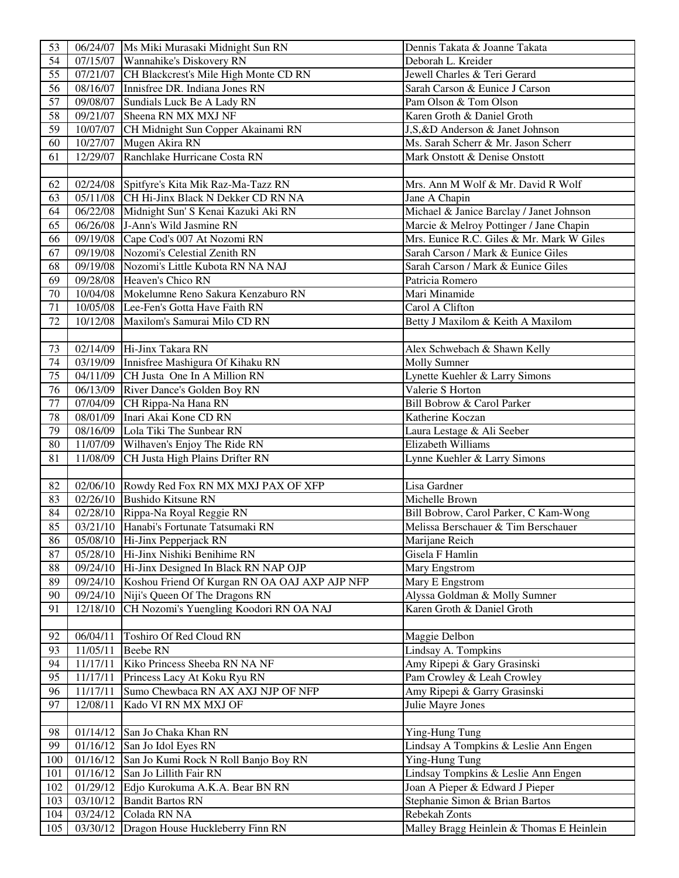| 53              |                       | 06/24/07   Ms Miki Murasaki Midnight Sun RN            | Dennis Takata & Joanne Takata             |
|-----------------|-----------------------|--------------------------------------------------------|-------------------------------------------|
| 54              |                       | 07/15/07 Wannahike's Diskovery RN                      | Deborah L. Kreider                        |
| 55              |                       | 07/21/07 CH Blackcrest's Mile High Monte CD RN         | Jewell Charles & Teri Gerard              |
| 56              |                       | 08/16/07 Innisfree DR. Indiana Jones RN                | Sarah Carson & Eunice J Carson            |
| 57              |                       | 09/08/07 Sundials Luck Be A Lady RN                    | Pam Olson & Tom Olson                     |
| 58              |                       | 09/21/07 Sheena RN MX MXJ NF                           | Karen Groth & Daniel Groth                |
| 59              |                       | 10/07/07 CH Midnight Sun Copper Akainami RN            | J,S,&D Anderson & Janet Johnson           |
| 60              |                       | 10/27/07 Mugen Akira RN                                | Ms. Sarah Scherr & Mr. Jason Scherr       |
| 61              | 12/29/07              | Ranchlake Hurricane Costa RN                           | Mark Onstott & Denise Onstott             |
|                 |                       |                                                        |                                           |
| 62              |                       | 02/24/08 Spitfyre's Kita Mik Raz-Ma-Tazz RN            | Mrs. Ann M Wolf & Mr. David R Wolf        |
| 63              |                       | 05/11/08 CH Hi-Jinx Black N Dekker CD RN NA            | Jane A Chapin                             |
| 64              |                       | 06/22/08 Midnight Sun' S Kenai Kazuki Aki RN           | Michael & Janice Barclay / Janet Johnson  |
| 65              |                       | 06/26/08 J-Ann's Wild Jasmine RN                       | Marcie & Melroy Pottinger / Jane Chapin   |
| 66              |                       | 09/19/08 Cape Cod's 007 At Nozomi RN                   | Mrs. Eunice R.C. Giles & Mr. Mark W Giles |
| 67              |                       | 09/19/08 Nozomi's Celestial Zenith RN                  | Sarah Carson / Mark & Eunice Giles        |
| 68              |                       | 09/19/08 Nozomi's Little Kubota RN NA NAJ              | Sarah Carson / Mark & Eunice Giles        |
| 69              |                       | 09/28/08 Heaven's Chico RN                             | Patricia Romero                           |
| 70              |                       | 10/04/08 Mokelumne Reno Sakura Kenzaburo RN            | Mari Minamide                             |
| 71              |                       | 10/05/08 Lee-Fen's Gotta Have Faith RN                 | Carol A Clifton                           |
| 72              | 10/12/08              | Maxilom's Samurai Milo CD RN                           | Betty J Maxilom & Keith A Maxilom         |
|                 |                       |                                                        |                                           |
| 73              |                       | 02/14/09 Hi-Jinx Takara RN                             | Alex Schwebach & Shawn Kelly              |
| 74              |                       | 03/19/09 Innisfree Mashigura Of Kihaku RN              | <b>Molly Sumner</b>                       |
| 75              |                       | 04/11/09 CH Justa One In A Million RN                  | Lynette Kuehler & Larry Simons            |
| 76              |                       | 06/13/09 River Dance's Golden Boy RN                   | Valerie S Horton                          |
| 77              |                       | 07/04/09 CH Rippa-Na Hana RN                           | Bill Bobrow & Carol Parker                |
| 78              |                       | 08/01/09 Inari Akai Kone CD RN                         | Katherine Koczan                          |
| $\overline{79}$ |                       | 08/16/09 Lola Tiki The Sunbear RN                      | Laura Lestage & Ali Seeber                |
| 80              |                       | 11/07/09 Wilhaven's Enjoy The Ride RN                  | <b>Elizabeth Williams</b>                 |
| 81              |                       | 11/08/09 CH Justa High Plains Drifter RN               | Lynne Kuehler & Larry Simons              |
|                 |                       |                                                        |                                           |
| 82              |                       | 02/06/10 Rowdy Red Fox RN MX MXJ PAX OF XFP            | Lisa Gardner                              |
| 83              |                       | 02/26/10 Bushido Kitsune RN                            | Michelle Brown                            |
| 84              |                       | 02/28/10 Rippa-Na Royal Reggie RN                      | Bill Bobrow, Carol Parker, C Kam-Wong     |
| 85              |                       | 03/21/10 Hanabi's Fortunate Tatsumaki RN               | Melissa Berschauer & Tim Berschauer       |
| $\overline{86}$ |                       | $05/08/10$ Hi-Jinx Pepperjack RN                       | Marijane Reich                            |
| 87              |                       | 05/28/10 Hi-Jinx Nishiki Benihime RN                   | Gisela F Hamlin                           |
| 88              |                       | 09/24/10 Hi-Jinx Designed In Black RN NAP OJP          | Mary Engstrom                             |
| 89              |                       | 09/24/10 Koshou Friend Of Kurgan RN OA OAJ AXP AJP NFP | Mary E Engstrom                           |
| 90              |                       | 09/24/10 Niji's Queen Of The Dragons RN                | Alyssa Goldman & Molly Sumner             |
| 91              | 12/18/10              | CH Nozomi's Yuengling Koodori RN OA NAJ                | Karen Groth & Daniel Groth                |
|                 |                       |                                                        |                                           |
| 92              | 06/04/11              | Toshiro Of Red Cloud RN                                | Maggie Delbon                             |
| 93              | 11/05/11              | <b>Beebe RN</b>                                        | Lindsay A. Tompkins                       |
| 94              | 11/17/11              | Kiko Princess Sheeba RN NA NF                          | Amy Ripepi & Gary Grasinski               |
| 95              | $\frac{1}{11}{17/11}$ | Princess Lacy At Koku Ryu RN                           | Pam Crowley & Leah Crowley                |
| 96              | 11/17/11              | Sumo Chewbaca RN AX AXJ NJP OF NFP                     | Amy Ripepi & Garry Grasinski              |
| 97              | 12/08/11              | Kado VI RN MX MXJ OF                                   | Julie Mayre Jones                         |
|                 |                       |                                                        |                                           |
| 98              |                       | 01/14/12 San Jo Chaka Khan RN                          | Ying-Hung Tung                            |
| 99              | 01/16/12              | San Jo Idol Eyes RN                                    | Lindsay A Tompkins & Leslie Ann Engen     |
| 100             | 01/16/12              | San Jo Kumi Rock N Roll Banjo Boy RN                   | <b>Ying-Hung Tung</b>                     |
| 101             | 01/16/12              | San Jo Lillith Fair RN                                 | Lindsay Tompkins & Leslie Ann Engen       |
| 102             | 01/29/12              | Edjo Kurokuma A.K.A. Bear BN RN                        | Joan A Pieper & Edward J Pieper           |
| 103             | 03/10/12              | <b>Bandit Bartos RN</b>                                | Stephanie Simon & Brian Bartos            |
| 104             | 03/24/12              | Colada RN NA                                           | Rebekah Zonts                             |
| 105             | 03/30/12              | Dragon House Huckleberry Finn RN                       | Malley Bragg Heinlein & Thomas E Heinlein |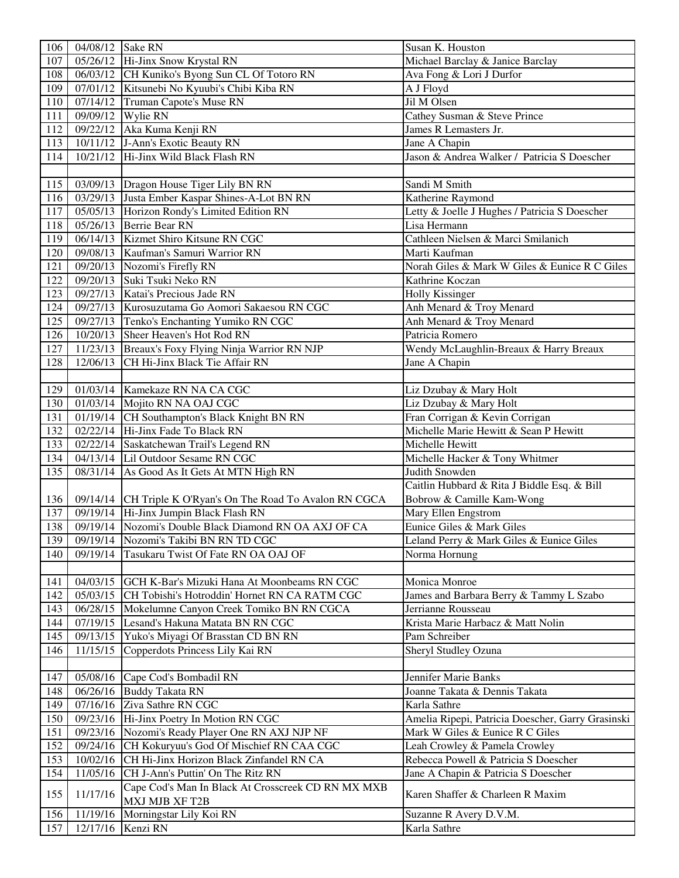| 106        | 04/08/12 Sake RN |                                                                                                | Susan K. Houston                                  |  |
|------------|------------------|------------------------------------------------------------------------------------------------|---------------------------------------------------|--|
| 107        |                  | 05/26/12 Hi-Jinx Snow Krystal RN                                                               | Michael Barclay & Janice Barclay                  |  |
| 108        |                  | 06/03/12 CH Kuniko's Byong Sun CL Of Totoro RN                                                 | Ava Fong & Lori J Durfor                          |  |
| 109        |                  | 07/01/12 Kitsunebi No Kyuubi's Chibi Kiba RN                                                   | A J Floyd                                         |  |
| 110        |                  | 07/14/12 Truman Capote's Muse RN                                                               | Jil M Olsen                                       |  |
| 111        |                  | 09/09/12 Wylie RN                                                                              | Cathey Susman & Steve Prince                      |  |
| 112        |                  | 09/22/12 Aka Kuma Kenji RN                                                                     | James R Lemasters Jr.                             |  |
| 113        |                  | 10/11/12 J-Ann's Exotic Beauty RN                                                              | Jane A Chapin                                     |  |
| 114        |                  | 10/21/12 Hi-Jinx Wild Black Flash RN                                                           | Jason & Andrea Walker / Patricia S Doescher       |  |
|            |                  |                                                                                                |                                                   |  |
| 115        |                  | 03/09/13 Dragon House Tiger Lily BN RN                                                         | Sandi M Smith                                     |  |
| 116        |                  | 03/29/13 Justa Ember Kaspar Shines-A-Lot BN RN                                                 | Katherine Raymond                                 |  |
| 117        |                  | 05/05/13 Horizon Rondy's Limited Edition RN                                                    | Letty & Joelle J Hughes / Patricia S Doescher     |  |
| 118        |                  | 05/26/13 Berrie Bear RN                                                                        | Lisa Hermann                                      |  |
| 119        |                  | 06/14/13 Kizmet Shiro Kitsune RN CGC                                                           | Cathleen Nielsen & Marci Smilanich                |  |
| 120        |                  | 09/08/13 Kaufman's Samuri Warrior RN                                                           | Marti Kaufman                                     |  |
| 121        |                  | 09/20/13 Nozomi's Firefly RN                                                                   | Norah Giles & Mark W Giles & Eunice R C Giles     |  |
| 122        |                  | 09/20/13 Suki Tsuki Neko RN                                                                    | Kathrine Koczan                                   |  |
| 123        |                  | 09/27/13 Katai's Precious Jade RN                                                              | <b>Holly Kissinger</b>                            |  |
| 124        |                  | 09/27/13   Kurosuzutama Go Aomori Sakaesou RN CGC                                              | Anh Menard & Troy Menard                          |  |
| 125        |                  | 09/27/13 Tenko's Enchanting Yumiko RN CGC                                                      | Anh Menard & Troy Menard                          |  |
| 126        |                  | 10/20/13 Sheer Heaven's Hot Rod RN                                                             | Patricia Romero                                   |  |
| 127        |                  | 11/23/13 Breaux's Foxy Flying Ninja Warrior RN NJP                                             | Wendy McLaughlin-Breaux & Harry Breaux            |  |
| 128        |                  | 12/06/13 CH Hi-Jinx Black Tie Affair RN                                                        | Jane A Chapin                                     |  |
|            |                  |                                                                                                |                                                   |  |
| 129        |                  | 01/03/14 Kamekaze RN NA CA CGC                                                                 | Liz Dzubay & Mary Holt                            |  |
| 130        |                  | 01/03/14 Mojito RN NA OAJ CGC                                                                  | Liz Dzubay & Mary Holt                            |  |
| 131        |                  | 01/19/14 CH Southampton's Black Knight BN RN                                                   | Fran Corrigan & Kevin Corrigan                    |  |
| 132        |                  | 02/22/14 Hi-Jinx Fade To Black RN                                                              | Michelle Marie Hewitt & Sean P Hewitt             |  |
| 133        |                  | 02/22/14 Saskatchewan Trail's Legend RN                                                        | Michelle Hewitt                                   |  |
| 134        |                  | 04/13/14 Lil Outdoor Sesame RN CGC                                                             | Michelle Hacker & Tony Whitmer                    |  |
| 135        |                  | 08/31/14 As Good As It Gets At MTN High RN                                                     | Judith Snowden                                    |  |
|            |                  |                                                                                                | Caitlin Hubbard & Rita J Biddle Esq. & Bill       |  |
| 136        |                  | 09/14/14 CH Triple K O'Ryan's On The Road To Avalon RN CGCA                                    | Bobrow & Camille Kam-Wong                         |  |
| 137        |                  | 09/19/14 Hi-Jinx Jumpin Black Flash RN                                                         | Mary Ellen Engstrom                               |  |
| 138        |                  | 09/19/14 Nozomi's Double Black Diamond RN OA AXJ OF CA                                         | Eunice Giles & Mark Giles                         |  |
| 139        |                  | 09/19/14 Nozomi's Takibi BN RN TD CGC                                                          | Leland Perry & Mark Giles & Eunice Giles          |  |
| 140        | 09/19/14         | Tasukaru Twist Of Fate RN OA OAJ OF                                                            | Norma Hornung                                     |  |
|            |                  |                                                                                                |                                                   |  |
| 141        |                  | 04/03/15 GCH K-Bar's Mizuki Hana At Moonbeams RN CGC                                           | Monica Monroe                                     |  |
| 142        |                  |                                                                                                | James and Barbara Berry & Tammy L Szabo           |  |
|            |                  | 05/03/15 CH Tobishi's Hotroddin' Hornet RN CA RATM CGC                                         | Jerrianne Rousseau                                |  |
| 143<br>144 |                  | 06/28/15 Mokelumne Canyon Creek Tomiko BN RN CGCA<br>07/19/15 Lesand's Hakuna Matata BN RN CGC | Krista Marie Harbacz & Matt Nolin                 |  |
| 145        |                  | 09/13/15 Yuko's Miyagi Of Brasstan CD BN RN                                                    | Pam Schreiber                                     |  |
|            |                  |                                                                                                |                                                   |  |
| 146        |                  | 11/15/15 Copperdots Princess Lily Kai RN                                                       | Sheryl Studley Ozuna                              |  |
|            |                  |                                                                                                |                                                   |  |
| 147        |                  | 05/08/16 Cape Cod's Bombadil RN                                                                | Jennifer Marie Banks                              |  |
| 148        |                  | 06/26/16 Buddy Takata RN                                                                       | Joanne Takata & Dennis Takata                     |  |
| 149        |                  | 07/16/16 Ziva Sathre RN CGC                                                                    | Karla Sathre                                      |  |
| 150        |                  | 09/23/16 Hi-Jinx Poetry In Motion RN CGC                                                       | Amelia Ripepi, Patricia Doescher, Garry Grasinski |  |
| 151        |                  | 09/23/16 Nozomi's Ready Player One RN AXJ NJP NF                                               | Mark W Giles & Eunice R C Giles                   |  |
| 152        |                  | 09/24/16 CH Kokuryuu's God Of Mischief RN CAA CGC                                              | Leah Crowley & Pamela Crowley                     |  |
| 153        |                  | 10/02/16 CH Hi-Jinx Horizon Black Zinfandel RN CA                                              | Rebecca Powell & Patricia S Doescher              |  |
| 154        | 11/05/16         | CH J-Ann's Puttin' On The Ritz RN                                                              | Jane A Chapin & Patricia S Doescher               |  |
| 155        | 11/17/16         | Cape Cod's Man In Black At Crosscreek CD RN MX MXB                                             | Karen Shaffer & Charleen R Maxim                  |  |
|            |                  | MXJ MJB XF T2B                                                                                 |                                                   |  |
| 156        | 11/19/16         | Morningstar Lily Koi RN                                                                        | Suzanne R Avery D.V.M.                            |  |
| 157        | 12/17/16         | Kenzi RN                                                                                       | Karla Sathre                                      |  |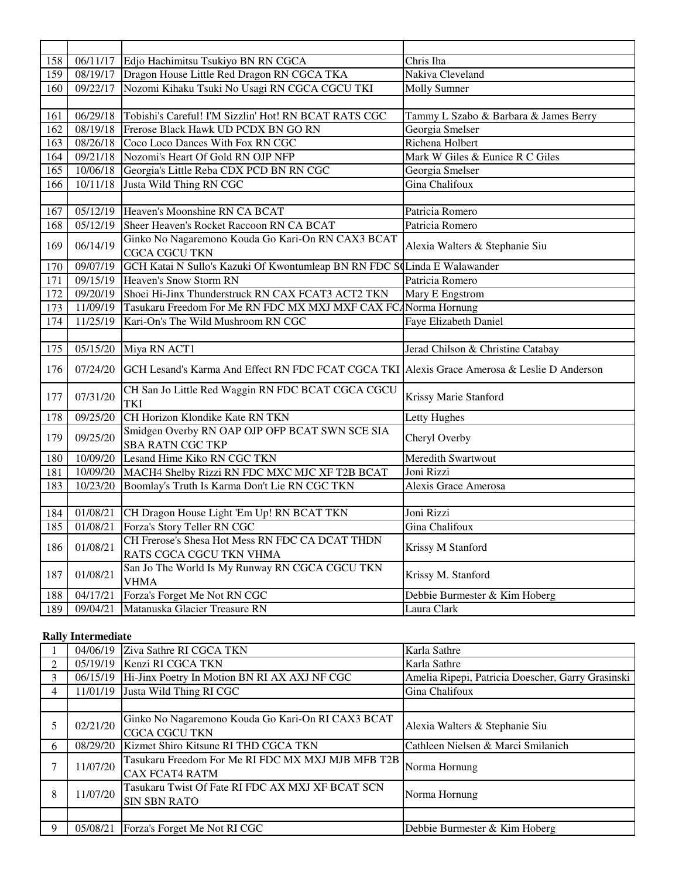| 158 |                       | 06/11/17 Edjo Hachimitsu Tsukiyo BN RN CGCA                                                 | Chris Iha                             |
|-----|-----------------------|---------------------------------------------------------------------------------------------|---------------------------------------|
| 159 |                       | 08/19/17 Dragon House Little Red Dragon RN CGCA TKA                                         | Nakiva Cleveland                      |
| 160 | $\overline{09/22/17}$ | Nozomi Kihaku Tsuki No Usagi RN CGCA CGCU TKI                                               | <b>Molly Sumner</b>                   |
|     |                       |                                                                                             |                                       |
| 161 |                       | 06/29/18 Tobishi's Careful! I'M Sizzlin' Hot! RN BCAT RATS CGC                              | Tammy L Szabo & Barbara & James Berry |
| 162 |                       | 08/19/18 Frerose Black Hawk UD PCDX BN GO RN                                                | Georgia Smelser                       |
| 163 |                       | 08/26/18 Coco Loco Dances With Fox RN CGC                                                   | Richena Holbert                       |
| 164 |                       | 09/21/18 Nozomi's Heart Of Gold RN OJP NFP                                                  | Mark W Giles & Eunice R C Giles       |
| 165 | 10/06/18              | Georgia's Little Reba CDX PCD BN RN CGC                                                     | Georgia Smelser                       |
| 166 | 10/11/18              | Justa Wild Thing RN CGC                                                                     | Gina Chalifoux                        |
|     |                       |                                                                                             |                                       |
| 167 |                       | 05/12/19 Heaven's Moonshine RN CA BCAT                                                      | Patricia Romero                       |
| 168 | 05/12/19              | Sheer Heaven's Rocket Raccoon RN CA BCAT                                                    | Patricia Romero                       |
| 169 | 06/14/19              | Ginko No Nagaremono Kouda Go Kari-On RN CAX3 BCAT                                           | Alexia Walters & Stephanie Siu        |
|     |                       | <b>CGCA CGCU TKN</b>                                                                        |                                       |
| 170 | 09/07/19              | GCH Katai N Sullo's Kazuki Of Kwontumleap BN RN FDC SoLinda E Walawander                    |                                       |
| 171 |                       | 09/15/19 Heaven's Snow Storm RN                                                             | Patricia Romero                       |
| 172 | 09/20/19              | Shoei Hi-Jinx Thunderstruck RN CAX FCAT3 ACT2 TKN                                           | Mary E Engstrom                       |
| 173 |                       | 11/09/19 Tasukaru Freedom For Me RN FDC MX MXJ MXF CAX FCANorma Hornung                     |                                       |
| 174 | 11/25/19              | Kari-On's The Wild Mushroom RN CGC                                                          | Faye Elizabeth Daniel                 |
|     |                       |                                                                                             |                                       |
| 175 | 05/15/20              | Miya RN ACT1                                                                                | Jerad Chilson & Christine Catabay     |
| 176 | 07/24/20              | GCH Lesand's Karma And Effect RN FDC FCAT CGCA TKI Alexis Grace Amerosa & Leslie D Anderson |                                       |
| 177 | 07/31/20              | CH San Jo Little Red Waggin RN FDC BCAT CGCA CGCU<br><b>TKI</b>                             | Krissy Marie Stanford                 |
| 178 | 09/25/20              | CH Horizon Klondike Kate RN TKN                                                             | Letty Hughes                          |
| 179 | 09/25/20              | Smidgen Overby RN OAP OJP OFP BCAT SWN SCE SIA<br><b>SBA RATN CGC TKP</b>                   | Cheryl Overby                         |
| 180 |                       | 10/09/20 Lesand Hime Kiko RN CGC TKN                                                        | Meredith Swartwout                    |
| 181 |                       | 10/09/20 MACH4 Shelby Rizzi RN FDC MXC MJC XF T2B BCAT                                      | Joni Rizzi                            |
| 183 | 10/23/20              | Boomlay's Truth Is Karma Don't Lie RN CGC TKN                                               | Alexis Grace Amerosa                  |
|     |                       |                                                                                             |                                       |
| 184 | 01/08/21              | CH Dragon House Light 'Em Up! RN BCAT TKN                                                   | Joni Rizzi                            |
| 185 | 01/08/21              | Forza's Story Teller RN CGC                                                                 | Gina Chalifoux                        |
| 186 | 01/08/21              | CH Frerose's Shesa Hot Mess RN FDC CA DCAT THDN<br>RATS CGCA CGCU TKN VHMA                  | Krissy M Stanford                     |
| 187 | 01/08/21              | San Jo The World Is My Runway RN CGCA CGCU TKN<br><b>VHMA</b>                               | Krissy M. Stanford                    |
| 188 | 04/17/21              | Forza's Forget Me Not RN CGC                                                                | Debbie Burmester & Kim Hoberg         |
| 189 | 09/04/21              | Matanuska Glacier Treasure RN                                                               | Laura Clark                           |

### **Rally Intermediate**

|   | 04/06/19 | Ziva Sathre RI CGCA TKN                           | Karla Sathre                                      |
|---|----------|---------------------------------------------------|---------------------------------------------------|
|   | 05/19/19 | Kenzi RI CGCA TKN                                 | Karla Sathre                                      |
| 3 | 06/15/19 | Hi-Jinx Poetry In Motion BN RI AX AXJ NF CGC      | Amelia Ripepi, Patricia Doescher, Garry Grasinski |
| 4 | 11/01/19 | Justa Wild Thing RI CGC                           | Gina Chalifoux                                    |
|   |          |                                                   |                                                   |
| 5 | 02/21/20 | Ginko No Nagaremono Kouda Go Kari-On RI CAX3 BCAT | Alexia Walters & Stephanie Siu                    |
|   |          | <b>CGCA CGCU TKN</b>                              |                                                   |
| 6 | 08/29/20 | Kizmet Shiro Kitsune RI THD CGCA TKN              | Cathleen Nielsen & Marci Smilanich                |
| 7 | 11/07/20 | Tasukaru Freedom For Me RI FDC MX MXJ MJB MFB T2B | Norma Hornung                                     |
|   | 11/07/20 | <b>CAX FCAT4 RATM</b>                             |                                                   |
| 8 |          | Tasukaru Twist Of Fate RI FDC AX MXJ XF BCAT SCN  | Norma Hornung                                     |
|   |          | <b>SIN SBN RATO</b>                               |                                                   |
|   |          |                                                   |                                                   |
| 9 | 05/08/21 | Forza's Forget Me Not RI CGC                      | Debbie Burmester & Kim Hoberg                     |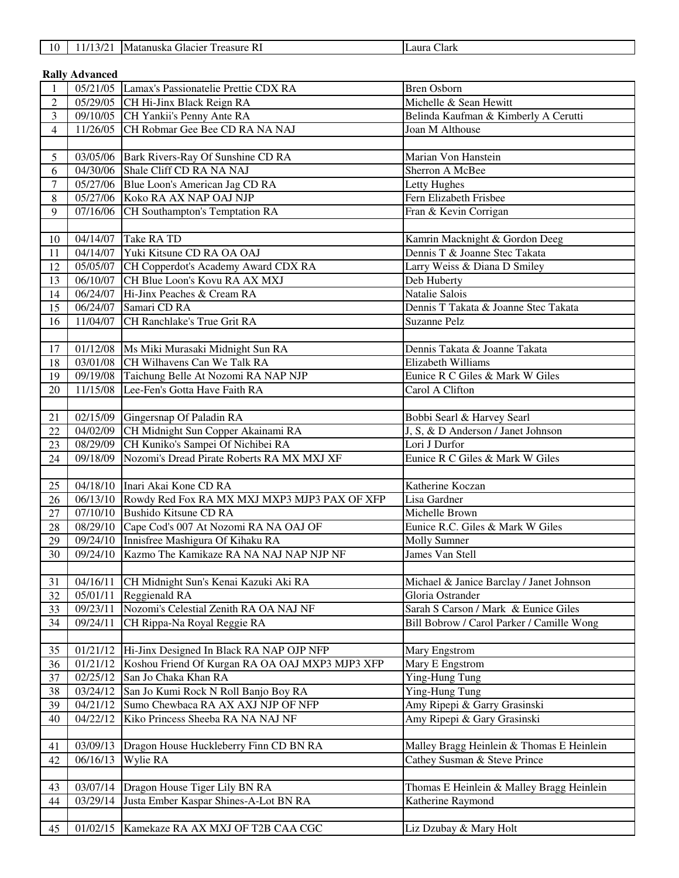| 10 | 12012<br>$\mathcal{U}$<br>1 L I | Matanuska Glacier<br>R.<br><i>Treasure</i> | Clark<br>Laura |
|----|---------------------------------|--------------------------------------------|----------------|
|----|---------------------------------|--------------------------------------------|----------------|

| 1V. |                       | 11/13/21 INIALAHUSKA UTACIEI TTEASUIE NI      | TL'aufa Ciain |
|-----|-----------------------|-----------------------------------------------|---------------|
|     |                       |                                               |               |
|     | <b>Rally Advanced</b> |                                               |               |
|     |                       | 05/21/05 Lamax's Passionatelie Prettie CDX RA | Bren Osborn   |
|     |                       |                                               |               |

| $\overline{2}$   |          | 05/29/05 CH Hi-Jinx Black Reign RA                                                      | Michelle & Sean Hewitt                                                    |
|------------------|----------|-----------------------------------------------------------------------------------------|---------------------------------------------------------------------------|
| $\overline{3}$   |          | 09/10/05 CH Yankii's Penny Ante RA                                                      | Belinda Kaufman & Kimberly A Cerutti                                      |
| $\overline{4}$   |          | 11/26/05 CH Robmar Gee Bee CD RA NA NAJ                                                 | Joan M Althouse                                                           |
|                  |          |                                                                                         |                                                                           |
| $5\overline{)}$  |          | 03/05/06 Bark Rivers-Ray Of Sunshine CD RA                                              | Marian Von Hanstein                                                       |
| 6                |          | 04/30/06 Shale Cliff CD RA NA NAJ                                                       | Sherron A McBee                                                           |
| $\overline{7}$   |          | 05/27/06 Blue Loon's American Jag CD RA                                                 | Letty Hughes                                                              |
| 8                |          | 05/27/06 Koko RA AX NAP OAJ NJP                                                         | Fern Elizabeth Frisbee                                                    |
| 9                |          | 07/16/06 CH Southampton's Temptation RA                                                 | Fran & Kevin Corrigan                                                     |
|                  |          |                                                                                         |                                                                           |
| 10               |          | 04/14/07 Take RA TD                                                                     | Kamrin Macknight & Gordon Deeg                                            |
| 11               |          | 04/14/07 Yuki Kitsune CD RA OA OAJ                                                      | Dennis T & Joanne Stec Takata                                             |
| 12               |          | 05/05/07 CH Copperdot's Academy Award CDX RA                                            | Larry Weiss & Diana D Smiley                                              |
| 13               |          | 06/10/07 CH Blue Loon's Kovu RA AX MXJ                                                  | Deb Huberty                                                               |
| 14               |          | 06/24/07 Hi-Jinx Peaches & Cream RA                                                     | Natalie Salois                                                            |
| 15               |          | 06/24/07 Samari CD RA                                                                   | Dennis T Takata & Joanne Stec Takata                                      |
|                  |          | CH Ranchlake's True Grit RA                                                             | <b>Suzanne Pelz</b>                                                       |
| 16               | 11/04/07 |                                                                                         |                                                                           |
|                  |          |                                                                                         | Dennis Takata & Joanne Takata                                             |
| 17               |          | 01/12/08 Ms Miki Murasaki Midnight Sun RA<br>03/01/08 CH Wilhavens Can We Talk RA       | Elizabeth Williams                                                        |
| 18               |          |                                                                                         | Eunice R C Giles & Mark W Giles                                           |
| 19               |          | 09/19/08 Taichung Belle At Nozomi RA NAP NJP<br>11/15/08 Lee-Fen's Gotta Have Faith RA  |                                                                           |
| 20               |          |                                                                                         | Carol A Clifton                                                           |
|                  |          | 02/15/09 Gingersnap Of Paladin RA                                                       |                                                                           |
| 21<br>22         |          | 04/02/09 CH Midnight Sun Copper Akainami RA                                             | Bobbi Searl & Harvey Searl<br>J, S, & D Anderson / Janet Johnson          |
|                  |          | 08/29/09 CH Kuniko's Sampei Of Nichibei RA                                              | Lori J Durfor                                                             |
| 23               | 09/18/09 | Nozomi's Dread Pirate Roberts RA MX MXJ XF                                              |                                                                           |
| 24               |          |                                                                                         | Eunice R C Giles & Mark W Giles                                           |
|                  |          | 04/18/10 Inari Akai Kone CD RA                                                          | Katherine Koczan                                                          |
| $25\,$           |          |                                                                                         | Lisa Gardner                                                              |
| 26               |          | 06/13/10 Rowdy Red Fox RA MX MXJ MXP3 MJP3 PAX OF XFP<br>07/10/10 Bushido Kitsune CD RA | Michelle Brown                                                            |
| $27\,$<br>$28\,$ |          | 08/29/10 Cape Cod's 007 At Nozomi RA NA OAJ OF                                          | Eunice R.C. Giles & Mark W Giles                                          |
| 29               |          | 09/24/10 Innisfree Mashigura Of Kihaku RA                                               | Molly Sumner                                                              |
| 30               |          | 09/24/10 Kazmo The Kamikaze RA NA NAJ NAP NJP NF                                        | James Van Stell                                                           |
|                  |          |                                                                                         |                                                                           |
| 31               |          | 04/16/11 CH Midnight Sun's Kenai Kazuki Aki RA                                          | Michael & Janice Barclay / Janet Johnson                                  |
| 32               |          | 05/01/11 Reggienald RA                                                                  | Gloria Ostrander                                                          |
| 33               | 09/23/11 | Nozomi's Celestial Zenith RA OA NAJ NF                                                  | Sarah S Carson / Mark & Eunice Giles                                      |
| 34               | 09/24/11 | CH Rippa-Na Royal Reggie RA                                                             | Bill Bobrow / Carol Parker / Camille Wong                                 |
|                  |          |                                                                                         |                                                                           |
| 35               |          | 01/21/12 Hi-Jinx Designed In Black RA NAP OJP NFP                                       | Mary Engstrom                                                             |
| 36               | 01/21/12 | Koshou Friend Of Kurgan RA OA OAJ MXP3 MJP3 XFP                                         | Mary E Engstrom                                                           |
| 37               | 02/25/12 | San Jo Chaka Khan RA                                                                    | Ying-Hung Tung                                                            |
| 38               | 03/24/12 | San Jo Kumi Rock N Roll Banjo Boy RA                                                    | Ying-Hung Tung                                                            |
| 39               | 04/21/12 | Sumo Chewbaca RA AX AXJ NJP OF NFP                                                      | Amy Ripepi & Garry Grasinski                                              |
| 40               | 04/22/12 | Kiko Princess Sheeba RA NA NAJ NF                                                       | Amy Ripepi & Gary Grasinski                                               |
|                  |          |                                                                                         |                                                                           |
|                  | 03/09/13 |                                                                                         |                                                                           |
| 41<br>42         | 06/16/13 | Dragon House Huckleberry Finn CD BN RA<br>Wylie RA                                      | Malley Bragg Heinlein & Thomas E Heinlein<br>Cathey Susman & Steve Prince |
|                  |          |                                                                                         |                                                                           |
|                  | 03/07/14 | Dragon House Tiger Lily BN RA                                                           |                                                                           |
| 43<br>44         |          |                                                                                         | Thomas E Heinlein & Malley Bragg Heinlein                                 |
|                  |          |                                                                                         |                                                                           |
|                  | 03/29/14 | Justa Ember Kaspar Shines-A-Lot BN RA                                                   | Katherine Raymond                                                         |
| 45               | 01/02/15 | Kamekaze RA AX MXJ OF T2B CAA CGC                                                       | Liz Dzubay & Mary Holt                                                    |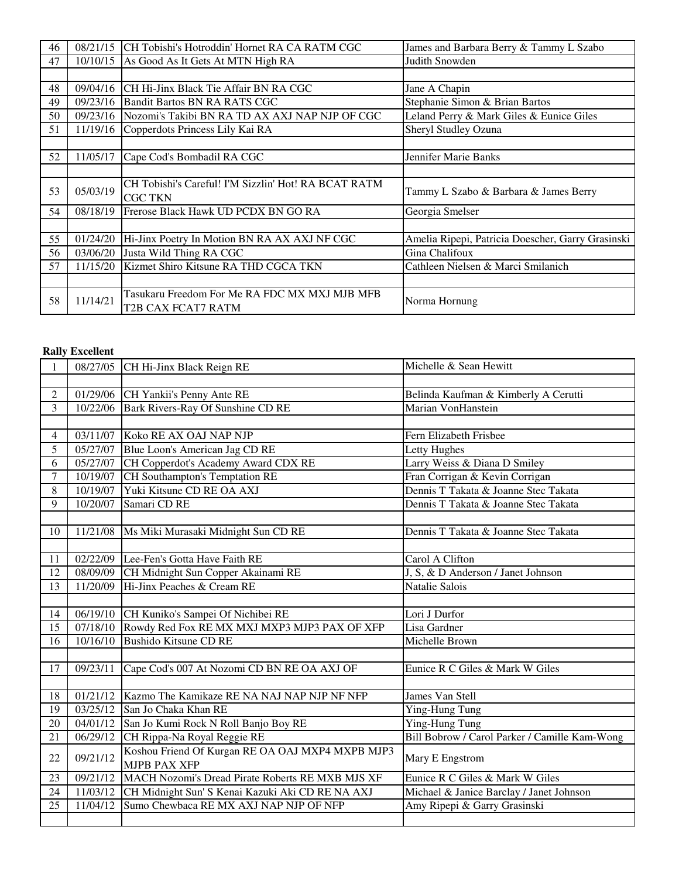| 46 |          | 08/21/15 CH Tobishi's Hotroddin' Hornet RA CA RATM CGC                 | James and Barbara Berry & Tammy L Szabo           |
|----|----------|------------------------------------------------------------------------|---------------------------------------------------|
| 47 |          | 10/10/15 As Good As It Gets At MTN High RA                             | Judith Snowden                                    |
|    |          |                                                                        |                                                   |
| 48 | 09/04/16 | CH Hi-Jinx Black Tie Affair BN RA CGC                                  | Jane A Chapin                                     |
| 49 | 09/23/16 | Bandit Bartos BN RA RATS CGC                                           | Stephanie Simon & Brian Bartos                    |
| 50 | 09/23/16 | Nozomi's Takibi BN RA TD AX AXJ NAP NJP OF CGC                         | Leland Perry & Mark Giles & Eunice Giles          |
| 51 | 11/19/16 | Copperdots Princess Lily Kai RA                                        | Sheryl Studley Ozuna                              |
|    |          |                                                                        |                                                   |
| 52 | 11/05/17 | Cape Cod's Bombadil RA CGC                                             | Jennifer Marie Banks                              |
|    |          |                                                                        |                                                   |
| 53 | 05/03/19 | CH Tobishi's Careful! I'M Sizzlin' Hot! RA BCAT RATM<br><b>CGC TKN</b> | Tammy L Szabo & Barbara & James Berry             |
| 54 | 08/18/19 | Frerose Black Hawk UD PCDX BN GO RA                                    | Georgia Smelser                                   |
|    |          |                                                                        |                                                   |
| 55 | 01/24/20 | Hi-Jinx Poetry In Motion BN RA AX AXJ NF CGC                           | Amelia Ripepi, Patricia Doescher, Garry Grasinski |
| 56 | 03/06/20 | Justa Wild Thing RA CGC                                                | Gina Chalifoux                                    |
| 57 | 11/15/20 | Kizmet Shiro Kitsune RA THD CGCA TKN                                   | Cathleen Nielsen & Marci Smilanich                |
|    |          |                                                                        |                                                   |
| 58 | 11/14/21 | Tasukaru Freedom For Me RA FDC MX MXJ MJB MFB<br>T2B CAX FCAT7 RATM    | Norma Hornung                                     |

### **Rally Excellent**

| $\mathbf{1}$            |          | 08/27/05 CH Hi-Jinx Black Reign RE                                      | Michelle & Sean Hewitt                        |
|-------------------------|----------|-------------------------------------------------------------------------|-----------------------------------------------|
|                         |          |                                                                         |                                               |
| $\overline{2}$          |          | 01/29/06 CH Yankii's Penny Ante RE                                      | Belinda Kaufman & Kimberly A Cerutti          |
| $\overline{\mathbf{3}}$ | 10/22/06 | Bark Rivers-Ray Of Sunshine CD RE                                       | Marian VonHanstein                            |
|                         |          |                                                                         |                                               |
| $\overline{4}$          |          | 03/11/07 Koko RE AX OAJ NAP NJP                                         | Fern Elizabeth Frisbee                        |
| $\overline{5}$          |          | 05/27/07 Blue Loon's American Jag CD RE                                 | Letty Hughes                                  |
| 6                       |          | 05/27/07 CH Copperdot's Academy Award CDX RE                            | Larry Weiss & Diana D Smiley                  |
| $\overline{7}$          |          | 10/19/07 CH Southampton's Temptation RE                                 | Fran Corrigan & Kevin Corrigan                |
| 8                       |          | 10/19/07 Yuki Kitsune CD RE OA AXJ                                      | Dennis T Takata & Joanne Stec Takata          |
| 9                       | 10/20/07 | Samari CD RE                                                            | Dennis T Takata & Joanne Stec Takata          |
|                         |          |                                                                         |                                               |
| 10                      |          | 11/21/08   Ms Miki Murasaki Midnight Sun CD RE                          | Dennis T Takata & Joanne Stec Takata          |
|                         |          |                                                                         |                                               |
| 11                      |          | 02/22/09 Lee-Fen's Gotta Have Faith RE                                  | Carol A Clifton                               |
| 12                      |          | 08/09/09 CH Midnight Sun Copper Akainami RE                             | J, S, & D Anderson / Janet Johnson            |
| 13                      | 11/20/09 | Hi-Jinx Peaches & Cream RE                                              | Natalie Salois                                |
|                         |          |                                                                         |                                               |
| 14                      |          | 06/19/10 CH Kuniko's Sampei Of Nichibei RE                              | Lori J Durfor                                 |
| 15                      |          | 07/18/10 Rowdy Red Fox RE MX MXJ MXP3 MJP3 PAX OF XFP                   | Lisa Gardner                                  |
| 16                      |          | 10/16/10 Bushido Kitsune CD RE                                          | Michelle Brown                                |
|                         |          |                                                                         |                                               |
| 17                      | 09/23/11 | Cape Cod's 007 At Nozomi CD BN RE OA AXJ OF                             | Eunice R C Giles & Mark W Giles               |
|                         |          |                                                                         |                                               |
| 18                      | 01/21/12 | Kazmo The Kamikaze RE NA NAJ NAP NJP NF NFP                             | James Van Stell                               |
| 19                      | 03/25/12 | San Jo Chaka Khan RE                                                    | Ying-Hung Tung                                |
| 20                      |          | 04/01/12 San Jo Kumi Rock N Roll Banjo Boy RE                           | Ying-Hung Tung                                |
| 21                      |          | 06/29/12 CH Rippa-Na Royal Reggie RE                                    | Bill Bobrow / Carol Parker / Camille Kam-Wong |
| 22                      | 09/21/12 | Koshou Friend Of Kurgan RE OA OAJ MXP4 MXPB MJP3<br><b>MJPB PAX XFP</b> | Mary E Engstrom                               |
| 23                      | 09/21/12 | MACH Nozomi's Dread Pirate Roberts RE MXB MJS XF                        | Eunice R C Giles & Mark W Giles               |
| 24                      |          | 11/03/12 CH Midnight Sun' S Kenai Kazuki Aki CD RE NA AXJ               | Michael & Janice Barclay / Janet Johnson      |
| 25                      | 11/04/12 | Sumo Chewbaca RE MX AXJ NAP NJP OF NFP                                  | Amy Ripepi & Garry Grasinski                  |
|                         |          |                                                                         |                                               |